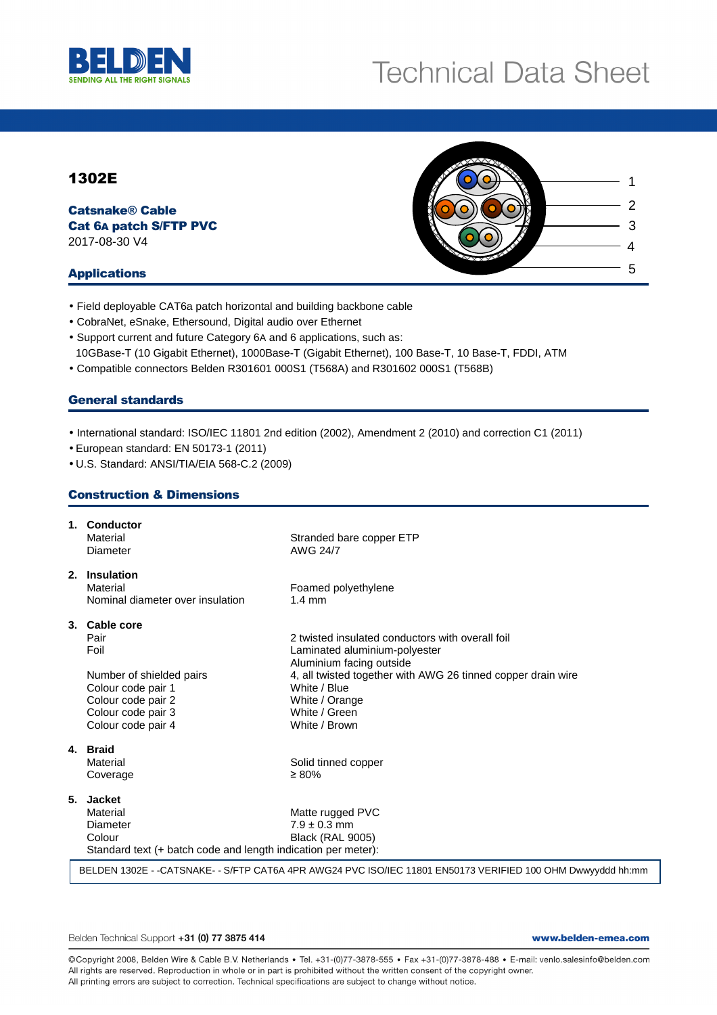

# **Technical Data Sheet**

# 1302E

Catsnake® Cable Cat 6A patch S/FTP PVC 2017-08-30 V4

## Applications

- Field deployable CAT6a patch horizontal and building backbone cable
- CobraNet, eSnake, Ethersound, Digital audio over Ethernet
- Support current and future Category 6A and 6 applications, such as: 10GBase-T (10 Gigabit Ethernet), 1000Base-T (Gigabit Ethernet), 100 Base-T, 10 Base-T, FDDI, ATM
- Compatible connectors Belden R301601 000S1 (T568A) and R301602 000S1 (T568B)

## General standards

• International standard: ISO/IEC 11801 2nd edition (2002), Amendment 2 (2010) and correction C1 (2011)

- European standard: EN 50173-1 (2011)
- U.S. Standard: ANSI/TIA/EIA 568-C.2 (2009)

# Construction & Dimensions

|              | 1. Conductor<br>Material<br>Diameter                                                                                              | Stranded bare copper ETP<br>AWG 24/7                                                                                                                                                                                                              |  |  |  |  |  |  |
|--------------|-----------------------------------------------------------------------------------------------------------------------------------|---------------------------------------------------------------------------------------------------------------------------------------------------------------------------------------------------------------------------------------------------|--|--|--|--|--|--|
| 2.           | <b>Insulation</b><br>Material<br>Nominal diameter over insulation                                                                 | Foamed polyethylene<br>$1.4 \text{ mm}$                                                                                                                                                                                                           |  |  |  |  |  |  |
| Pair<br>Foil | 3. Cable core<br>Number of shielded pairs<br>Colour code pair 1<br>Colour code pair 2<br>Colour code pair 3<br>Colour code pair 4 | 2 twisted insulated conductors with overall foil<br>Laminated aluminium-polyester<br>Aluminium facing outside<br>4, all twisted together with AWG 26 tinned copper drain wire<br>White / Blue<br>White / Orange<br>White / Green<br>White / Brown |  |  |  |  |  |  |
| 4. Braid     | Material<br>Coverage                                                                                                              | Solid tinned copper<br>$\geq 80\%$                                                                                                                                                                                                                |  |  |  |  |  |  |
| 5.           | <b>Jacket</b><br>Material<br>Diameter<br>Colour<br>Standard text (+ batch code and length indication per meter):                  | Matte rugged PVC<br>$7.9 \pm 0.3$ mm<br><b>Black (RAL 9005)</b>                                                                                                                                                                                   |  |  |  |  |  |  |
|              | BELDEN 1302E - - CATSNAKE- - S/FTP CAT6A 4PR AWG24 PVC ISO/IEC 11801 EN50173 VERIFIED 100 OHM Dwwyyddd hh:mm                      |                                                                                                                                                                                                                                                   |  |  |  |  |  |  |

Belden Technical Support +31 (0) 77 3875 414

www.belden-emea.com

@Copyright 2008, Belden Wire & Cable B.V. Netherlands · Tel. +31-(0)77-3878-555 · Fax +31-(0)77-3878-488 · E-mail: venlo.salesinfo@belden.com All rights are reserved. Reproduction in whole or in part is prohibited without the written consent of the copyright owner. All printing errors are subject to correction. Technical specifications are subject to change without notice.

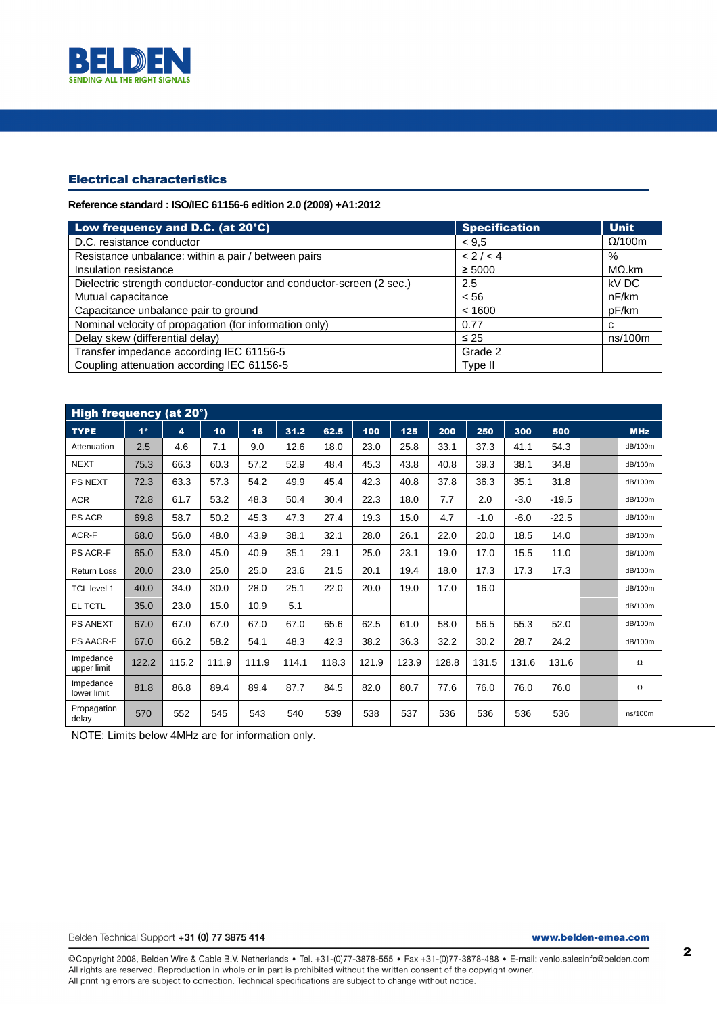

# Electrical characteristics

## **Reference standard : ISO/IEC 61156-6 edition 2.0 (2009) +A1:2012**

| Low frequency and D.C. (at 20°C)                                      | <b>Specification</b> | <b>Unit</b>    |
|-----------------------------------------------------------------------|----------------------|----------------|
| D.C. resistance conductor                                             | < 9.5                | $\Omega$ /100m |
| Resistance unbalance: within a pair / between pairs                   | < 2 / < 4            | %              |
| Insulation resistance                                                 | $\geq 5000$          | $M\Omega$ .km  |
| Dielectric strength conductor-conductor and conductor-screen (2 sec.) | 2.5                  | kV DC          |
| Mutual capacitance                                                    | < 56                 | nF/km          |
| Capacitance unbalance pair to ground                                  | < 1600               | pF/km          |
| Nominal velocity of propagation (for information only)                | 0.77                 | C              |
| Delay skew (differential delay)                                       | $\leq 25$            | ns/100m        |
| Transfer impedance according IEC 61156-5                              | Grade 2              |                |
| Coupling attenuation according IEC 61156-5                            | Type II              |                |

| High frequency (at 20°)  |       |       |       |       |       |       |       |       |       |        |        |         |            |
|--------------------------|-------|-------|-------|-------|-------|-------|-------|-------|-------|--------|--------|---------|------------|
| <b>TYPE</b>              | $1*$  | 4     | 10    | 16    | 31.2  | 62.5  | 100   | 125   | 200   | 250    | 300    | 500     | <b>MHz</b> |
| Attenuation              | 2.5   | 4.6   | 7.1   | 9.0   | 12.6  | 18.0  | 23.0  | 25.8  | 33.1  | 37.3   | 41.1   | 54.3    | dB/100m    |
| <b>NEXT</b>              | 75.3  | 66.3  | 60.3  | 57.2  | 52.9  | 48.4  | 45.3  | 43.8  | 40.8  | 39.3   | 38.1   | 34.8    | dB/100m    |
| <b>PS NEXT</b>           | 72.3  | 63.3  | 57.3  | 54.2  | 49.9  | 45.4  | 42.3  | 40.8  | 37.8  | 36.3   | 35.1   | 31.8    | dB/100m    |
| <b>ACR</b>               | 72.8  | 61.7  | 53.2  | 48.3  | 50.4  | 30.4  | 22.3  | 18.0  | 7.7   | 2.0    | $-3.0$ | $-19.5$ | dB/100m    |
| <b>PS ACR</b>            | 69.8  | 58.7  | 50.2  | 45.3  | 47.3  | 27.4  | 19.3  | 15.0  | 4.7   | $-1.0$ | $-6.0$ | $-22.5$ | dB/100m    |
| ACR-F                    | 68.0  | 56.0  | 48.0  | 43.9  | 38.1  | 32.1  | 28.0  | 26.1  | 22.0  | 20.0   | 18.5   | 14.0    | dB/100m    |
| PS ACR-F                 | 65.0  | 53.0  | 45.0  | 40.9  | 35.1  | 29.1  | 25.0  | 23.1  | 19.0  | 17.0   | 15.5   | 11.0    | dB/100m    |
| <b>Return Loss</b>       | 20.0  | 23.0  | 25.0  | 25.0  | 23.6  | 21.5  | 20.1  | 19.4  | 18.0  | 17.3   | 17.3   | 17.3    | dB/100m    |
| TCL level 1              | 40.0  | 34.0  | 30.0  | 28.0  | 25.1  | 22.0  | 20.0  | 19.0  | 17.0  | 16.0   |        |         | dB/100m    |
| <b>EL TCTL</b>           | 35.0  | 23.0  | 15.0  | 10.9  | 5.1   |       |       |       |       |        |        |         | dB/100m    |
| <b>PS ANEXT</b>          | 67.0  | 67.0  | 67.0  | 67.0  | 67.0  | 65.6  | 62.5  | 61.0  | 58.0  | 56.5   | 55.3   | 52.0    | dB/100m    |
| <b>PS AACR-F</b>         | 67.0  | 66.2  | 58.2  | 54.1  | 48.3  | 42.3  | 38.2  | 36.3  | 32.2  | 30.2   | 28.7   | 24.2    | dB/100m    |
| Impedance<br>upper limit | 122.2 | 115.2 | 111.9 | 111.9 | 114.1 | 118.3 | 121.9 | 123.9 | 128.8 | 131.5  | 131.6  | 131.6   | Ω          |
| Impedance<br>lower limit | 81.8  | 86.8  | 89.4  | 89.4  | 87.7  | 84.5  | 82.0  | 80.7  | 77.6  | 76.0   | 76.0   | 76.0    | Ω          |
| Propagation<br>delay     | 570   | 552   | 545   | 543   | 540   | 539   | 538   | 537   | 536   | 536    | 536    | 536     | ns/100m    |

NOTE: Limits below 4MHz are for information only.

Belden Technical Support +31 (0) 77 3875 414

www.belden-emea.com